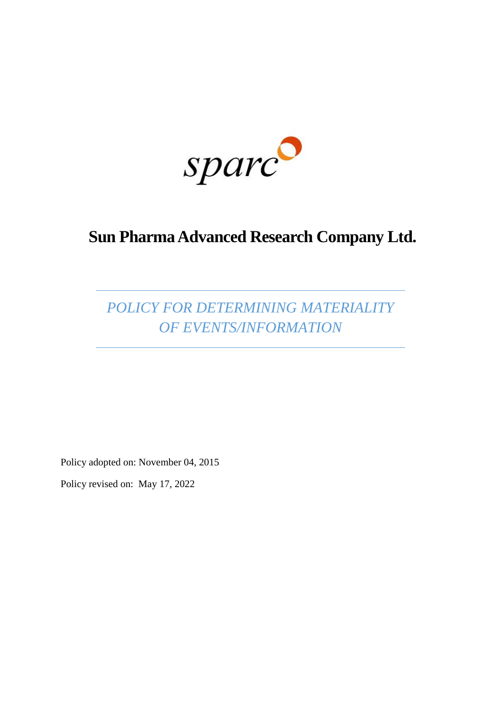sparc

# **Sun Pharma Advanced Research Company Ltd.**

*POLICY FOR DETERMINING MATERIALITY OF EVENTS/INFORMATION*

Policy adopted on: November 04, 2015

Policy revised on: May 17, 2022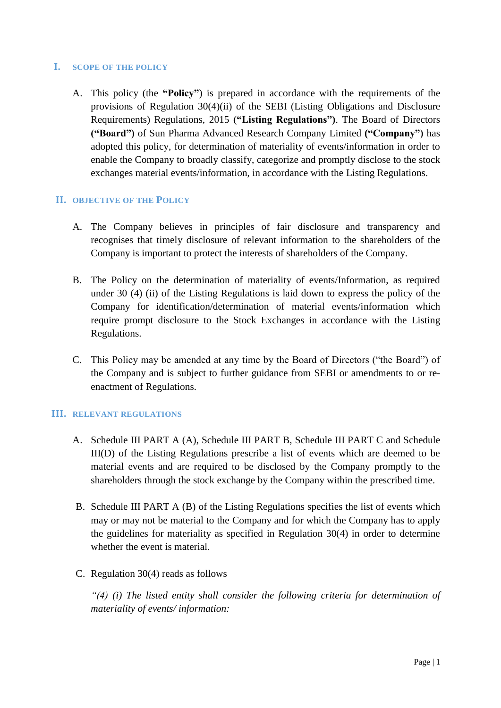## **I. SCOPE OF THE POLICY**

A. This policy (the **"Policy"**) is prepared in accordance with the requirements of the provisions of Regulation 30(4)(ii) of the SEBI (Listing Obligations and Disclosure Requirements) Regulations, 2015 **("Listing Regulations")**. The Board of Directors **("Board")** of Sun Pharma Advanced Research Company Limited **("Company")** has adopted this policy, for determination of materiality of events/information in order to enable the Company to broadly classify, categorize and promptly disclose to the stock exchanges material events/information, in accordance with the Listing Regulations.

## **II. OBJECTIVE OF THE POLICY**

- A. The Company believes in principles of fair disclosure and transparency and recognises that timely disclosure of relevant information to the shareholders of the Company is important to protect the interests of shareholders of the Company.
- B. The Policy on the determination of materiality of events/Information, as required under 30 (4) (ii) of the Listing Regulations is laid down to express the policy of the Company for identification/determination of material events/information which require prompt disclosure to the Stock Exchanges in accordance with the Listing Regulations.
- C. This Policy may be amended at any time by the Board of Directors ("the Board") of the Company and is subject to further guidance from SEBI or amendments to or reenactment of Regulations.

## **III. RELEVANT REGULATIONS**

- A. Schedule III PART A (A), Schedule III PART B, Schedule III PART C and Schedule III(D) of the Listing Regulations prescribe a list of events which are deemed to be material events and are required to be disclosed by the Company promptly to the shareholders through the stock exchange by the Company within the prescribed time.
- B. Schedule III PART A (B) of the Listing Regulations specifies the list of events which may or may not be material to the Company and for which the Company has to apply the guidelines for materiality as specified in Regulation 30(4) in order to determine whether the event is material.
- C. Regulation 30(4) reads as follows

*"(4) (i) The listed entity shall consider the following criteria for determination of materiality of events/ information:*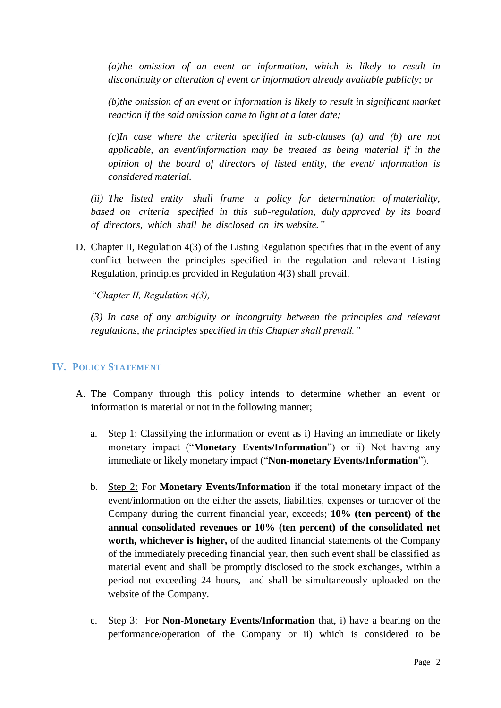*(a)the omission of an event or information, which is likely to result in discontinuity or alteration of event or information already available publicly; or* 

*(b)the omission of an event or information is likely to result in significant market reaction if the said omission came to light at a later date;*

*(c)In case where the criteria specified in sub-clauses (a) and (b) are not applicable, an event/information may be treated as being material if in the opinion of the board of directors of listed entity, the event/ information is considered material.*

*(ii) The listed entity shall frame a policy for determination of materiality, based on criteria specified in this sub-regulation, duly approved by its board of directors, which shall be disclosed on its website."*

D. Chapter II, Regulation 4(3) of the Listing Regulation specifies that in the event of any conflict between the principles specified in the regulation and relevant Listing Regulation, principles provided in Regulation 4(3) shall prevail.

*"Chapter II, Regulation 4(3),*

*(3) In case of any ambiguity or incongruity between the principles and relevant regulations, the principles specified in this Chapter shall prevail."* 

## **IV. POLICY STATEMENT**

- A. The Company through this policy intends to determine whether an event or information is material or not in the following manner;
	- a. Step 1: Classifying the information or event as i) Having an immediate or likely monetary impact ("**Monetary Events/Information**") or ii) Not having any immediate or likely monetary impact ("**Non-monetary Events/Information**").
	- b. Step 2: For **Monetary Events/Information** if the total monetary impact of the event/information on the either the assets, liabilities, expenses or turnover of the Company during the current financial year, exceeds; **10% (ten percent) of the annual consolidated revenues or 10% (ten percent) of the consolidated net worth, whichever is higher,** of the audited financial statements of the Company of the immediately preceding financial year, then such event shall be classified as material event and shall be promptly disclosed to the stock exchanges, within a period not exceeding 24 hours, and shall be simultaneously uploaded on the website of the Company.
	- c. Step 3: For **Non-Monetary Events/Information** that, i) have a bearing on the performance/operation of the Company or ii) which is considered to be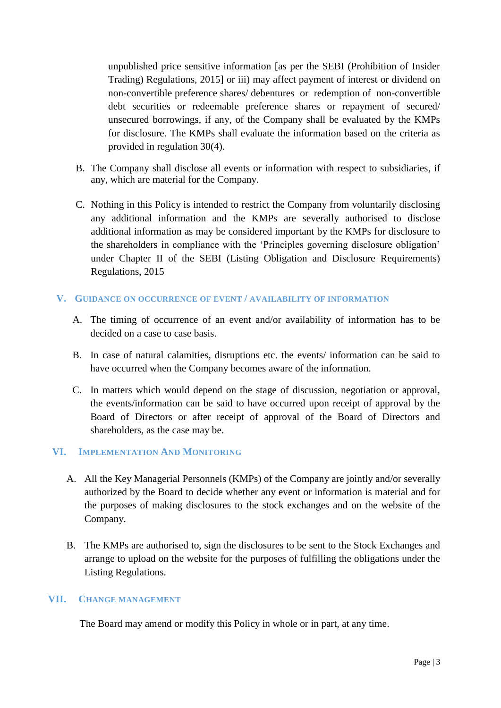unpublished price sensitive information [as per the SEBI (Prohibition of Insider Trading) Regulations, 2015] or iii) may affect payment of interest or dividend on non-convertible preference shares/ debentures or redemption of non-convertible debt securities or redeemable preference shares or repayment of secured/ unsecured borrowings, if any, of the Company shall be evaluated by the KMPs for disclosure. The KMPs shall evaluate the information based on the criteria as provided in regulation 30(4).

- B. The Company shall disclose all events or information with respect to subsidiaries, if any, which are material for the Company.
- C. Nothing in this Policy is intended to restrict the Company from voluntarily disclosing any additional information and the KMPs are severally authorised to disclose additional information as may be considered important by the KMPs for disclosure to the shareholders in compliance with the 'Principles governing disclosure obligation' under Chapter II of the SEBI (Listing Obligation and Disclosure Requirements) Regulations, 2015

## **V. GUIDANCE ON OCCURRENCE OF EVENT / AVAILABILITY OF INFORMATION**

- A. The timing of occurrence of an event and/or availability of information has to be decided on a case to case basis.
- B. In case of natural calamities, disruptions etc. the events/ information can be said to have occurred when the Company becomes aware of the information.
- C. In matters which would depend on the stage of discussion, negotiation or approval, the events/information can be said to have occurred upon receipt of approval by the Board of Directors or after receipt of approval of the Board of Directors and shareholders, as the case may be.

## **VI. IMPLEMENTATION AND MONITORING**

- A. All the Key Managerial Personnels (KMPs) of the Company are jointly and/or severally authorized by the Board to decide whether any event or information is material and for the purposes of making disclosures to the stock exchanges and on the website of the Company.
- B. The KMPs are authorised to, sign the disclosures to be sent to the Stock Exchanges and arrange to upload on the website for the purposes of fulfilling the obligations under the Listing Regulations.

## **VII. CHANGE MANAGEMENT**

The Board may amend or modify this Policy in whole or in part, at any time.